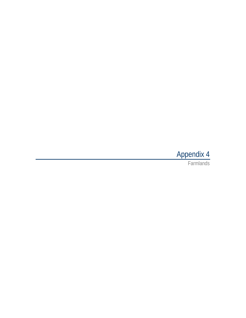# Appendix 4

Farmlands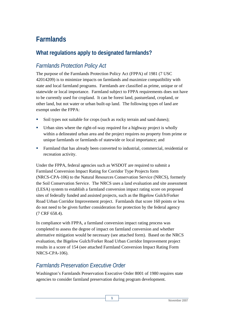## **Farmlands**

## **What regulations apply to designated farmlands?**

## *Farmlands Protection Policy Act*

The purpose of the Farmlands Protection Policy Act (FPPA) of 1981 (7 USC 42014209) is to minimize impacts on farmlands and maximize compatibility with state and local farmland programs. Farmlands are classified as prime, unique or of statewide or local importance. Farmland subject to FPPA requirements does not have to be currently used for cropland. It can be forest land, pastureland, cropland, or other land, but not water or urban built-up land. The following types of land are exempt under the FPPA:

- Soil types not suitable for crops (such as rocky terrain and sand dunes);
- Urban sites where the right-of-way required for a highway project is wholly within a delineated urban area and the project requires no property from prime or unique farmlands or farmlands of statewide or local importance; and
- Farmland that has already been converted to industrial, commercial, residential or recreation activity.

Under the FPPA, federal agencies such as WSDOT are required to submit a Farmland Conversion Impact Rating for Corridor Type Projects form (NRCS-CPA-106) to the Natural Resources Conservation Service (NRCS), formerly the Soil Conservation Service. The NRCS uses a land evaluation and site assessment (LESA) system to establish a farmland conversion impact rating score on proposed sites of federally funded and assisted projects, such as the Bigelow Gulch/Forker Road Urban Corridor Improvement project. Farmlands that score 160 points or less do not need to be given further consideration for protection by the federal agency (7 CRF 658.4).

In compliance with FPPA, a farmland conversion impact rating process was completed to assess the degree of impact on farmland conversion and whether alternative mitigation would be necessary (see attached form). Based on the NRCS evaluation, the Bigelow Gulch/Forker Road Urban Corridor Improvement project results in a score of 154 (see attached Farmland Conversion Impact Rating Form NRCS-CPA-106).

## *Farmlands Preservation Executive Order*

Washington's Farmlands Preservation Executive Order 8001 of 1980 requires state agencies to consider farmland preservation during program development.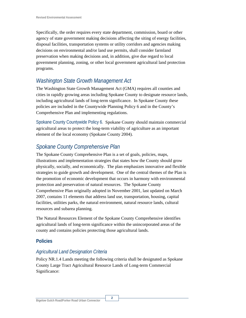Specifically, the order requires every state department, commission, board or other agency of state government making decisions affecting the siting of energy facilities, disposal facilities, transportation systems or utility corridors and agencies making decisions on environmental and/or land use permits, shall consider farmland preservation when making decisions and, in addition, give due regard to local government planning, zoning, or other local government agricultural land protection programs.

## *Washington State Growth Management Act*

The Washington State Growth Management Act (GMA) requires all counties and cities in rapidly growing areas including Spokane County to designate resource lands, including agricultural lands of long-term significance. In Spokane County these policies are included in the Countywide Planning Policy 6 and in the County's Comprehensive Plan and implementing regulations.

Spokane County Countywide Policy 6. Spokane County should maintain commercial agricultural areas to protect the long-term viability of agriculture as an important element of the local economy (Spokane County 2004).

## *Spokane County Comprehensive Plan*

The Spokane County Comprehensive Plan is a set of goals, policies, maps, illustrations and implementation strategies that states how the County should grow physically, socially, and economically. The plan emphasizes innovative and flexible strategies to guide growth and development. One of the central themes of the Plan is the promotion of economic development that occurs in harmony with environmental protection and preservation of natural resources. The Spokane County Comprehensive Plan originally adopted in November 2001, last updated on March 2007, contains 11 elements that address land use, transportation, housing, capital facilities, utilities parks, the natural environment, natural resource lands, cultural resources and subarea planning.

The Natural Resources Element of the Spokane County Comprehensive identifies agricultural lands of long-term significance within the unincorporated areas of the county and contains policies protecting those agricultural lands.

#### **Policies**

#### *Agricultural Land Designation Criteria*

Policy NR.1.4 Lands meeting the following criteria shall be designated as Spokane County Large Tract Agricultural Resource Lands of Long-term Commercial Significance: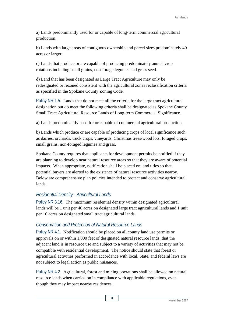a) Lands predominantly used for or capable of long-term commercial agricultural production.

b) Lands with large areas of contiguous ownership and parcel sizes predominately 40 acres or larger.

c) Lands that produce or are capable of producing predominately annual crop rotations including small grains, non-forage legumes and grass seed.

d) Land that has been designated as Large Tract Agriculture may only be redesignated or rezoned consistent with the agricultural zones reclassification criteria as specified in the Spokane County Zoning Code.

Policy NR.1.5. Lands that do not meet all the criteria for the large tract agricultural designation but do meet the following criteria shall be designated as Spokane County Small Tract Agricultural Resource Lands of Long-term Commercial Significance.

a) Lands predominantly used for or capable of commercial agricultural production.

b) Lands which produce or are capable of producing crops of local significance such as dairies, orchards, truck crops, vineyards, Christmas trees/wood lots, foraged crops, small grains, non-foraged legumes and grass.

Spokane County requires that applicants for development permits be notified if they are planning to develop near natural resource areas so that they are aware of potential impacts. When appropriate, notification shall be placed on land titles so that potential buyers are alerted to the existence of natural resource activities nearby. Below are comprehensive plan policies intended to protect and conserve agricultural lands.

#### *Residential Density - Agricultural Lands*

Policy NR.3.16. The maximum residential density within designated agricultural lands will be 1 unit per 40 acres on designated large tract agricultural lands and 1 unit per 10 acres on designated small tract agricultural lands.

#### *Conservation and Protection of Natural Resource Lands*

Policy NR.4.1. Notification should be placed on all county land use permits or approvals on or within 1,000 feet of designated natural resource lands, that the adjacent land is in resource use and subject to a variety of activities that may not be compatible with residential development. The notice should state that forest or agricultural activities performed in accordance with local, State, and federal laws are not subject to legal action as public nuisances.

Policy NR.4.2. Agricultural, forest and mining operations shall be allowed on natural resource lands when carried on in compliance with applicable regulations, even though they may impact nearby residences.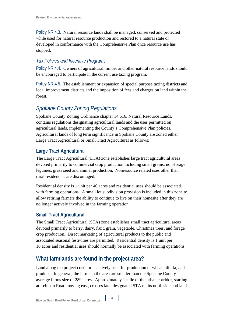Policy NR.4.3. Natural resource lands shall be managed, conserved and protected while used for natural resource production and restored to a natural state or developed in conformance with the Comprehensive Plan once resource use has stopped.

#### *Tax Policies and Incentive Programs*

Policy NR.4.4. Owners of agricultural, timber and other natural resource lands should be encouraged to participate in the current use taxing program.

Policy NR.4.5. The establishment or expansion of special purpose taxing districts and local improvement districts and the imposition of fees and charges on land within the forest.

## *Spokane County Zoning Regulations*

Spokane County Zoning Ordinance chapter 14.616, Natural Resource Lands, contains regulations designating agricultural lands and the uses permitted on agricultural lands, implementing the County's Comprehensive Plan policies. Agricultural lands of long term significance in Spokane County are zoned either Large Tract Agricultural or Small Tract Agricultural as follows:

### **Large Tract Agricultural**

The Large Tract Agricultural (LTA) zone establishes large tract agricultural areas devoted primarily to commercial crop production including small grains, non-forage legumes, grass seed and animal production. Nonresource related uses other than rural residencies are discouraged.

Residential density is 1 unit per 40 acres and residential uses should be associated with farming operations. A small lot subdivision provision is included in this zone to allow retiring farmers the ability to continue to live on their homesite after they are no longer actively involved in the farming operation.

#### **Small Tract Agricultural**

The Small Tract Agricultural (STA) zone establishes small tract agricultural areas devoted primarily to berry, dairy, fruit, grain, vegetable, Christmas trees, and forage crop production. Direct marketing of agricultural products to the public and associated seasonal festivities are permitted. Residential density is 1 unit per 10 acres and residential uses should normally be associated with farming operations.

## **What farmlands are found in the project area?**

Land along the project corridor is actively used for production of wheat, alfalfa, and produce. In general, the farms in the area are smaller than the Spokane County average farms size of 289 acres. Approximately 1 mile of the urban corridor, starting at Lehman Road moving east, crosses land designated STA on its north side and land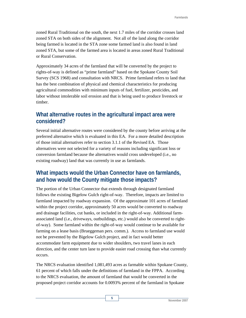zoned Rural Traditional on the south, the next 1.7 miles of the corridor crosses land zoned STA on both sides of the alignment. Not all of the land along the corridor being farmed is located in the STA zone some farmed land is also found in land zoned STA, but some of the farmed area is located in areas zoned Rural Traditional or Rural Conservation.

Approximately 34 acres of the farmland that will be converted by the project to rights-of-way is defined as "prime farmland" based on the Spokane County Soil Survey (SCS 1968) and consultation with NRCS. Prime farmland refers to land that has the best combination of physical and chemical characteristics for producing agricultural commodities with minimum inputs of fuel, fertilizer, pesticides, and labor without intolerable soil erosion and that is being used to produce livestock or timber.

### **What alternative routes in the agricultural impact area were considered?**

Several initial alternative routes were considered by the county before arriving at the preferred alternative which is evaluated in this EA. For a more detailed description of those initial alternatives refer to section 3.1.1 of the Revised EA. Those alternatives were not selected for a variety of reasons including significant loss or conversion farmland because the alternatives would cross undeveloped (i.e., no existing roadway) land that was currently in use as farmlands.

## **What impacts would the Urban Connector have on farmlands, and how would the County mitigate those impacts?**

The portion of the Urban Connector that extends through designated farmland follows the existing Bigelow Gulch right-of-way. Therefore, impacts are limited to farmland impacted by roadway expansion. Of the approximate 101 acres of farmland within the project corridor, approximately 50 acres would be converted to roadway and drainage facilities, cut banks, or included in the right-of-way. Additional farmassociated land (i.e., driveways, outbuildings, etc.) would also be converted to rightof-way). Some farmland within the right-of-way would continue to be available for farming on a lease basis (Brueggeman pers. comm.). Access to farmland use would not be prevented by the Bigelow Gulch project, and in fact would better accommodate farm equipment due to wider shoulders, two travel lanes in each direction, and the center turn lane to provide easier road crossing than what currently occurs.

The NRCS evaluation identified 1,081,493 acres as farmable within Spokane County, 61 percent of which falls under the definitions of farmland in the FPPA. According to the NRCS evaluation, the amount of farmland that would be converted in the proposed project corridor accounts for 0.0093% percent of the farmland in Spokane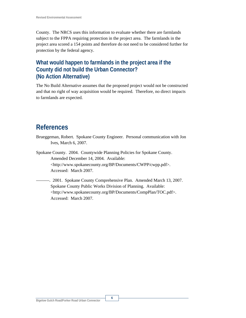County. The NRCS uses this information to evaluate whether there are farmlands subject to the FPPA requiring protection in the project area. The farmlands in the project area scored a 154 points and therefore do not need to be considered further for protection by the federal agency.

## **What would happen to farmlands in the project area if the County did not build the Urban Connector? (No Action Alternative)**

The No Build Alternative assumes that the proposed project would not be constructed and that no right of way acquisition would be required. Therefore, no direct impacts to farmlands are expected.

## **References**

- Brueggeman, Robert. Spokane County Engineer. Personal communication with Jon Ives, March 6, 2007.
- Spokane County. 2004. Countywide Planning Policies for Spokane County. Amended December 14, 2004. Available: <http://www.spokanecounty.org/BP/Documents/CWPP/cwpp.pdf>. Accessed: March 2007.
	- -. 2001. Spokane County Comprehensive Plan. Amended March 13, 2007. Spokane County Public Works Division of Planning. Available: <http://www.spokanecounty.org/BP/Documents/CompPlan/TOC.pdf>. Accessed: March 2007.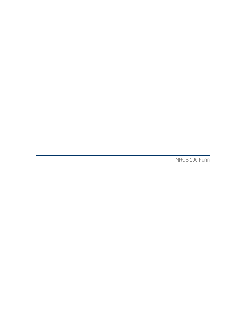NRCS 106 Form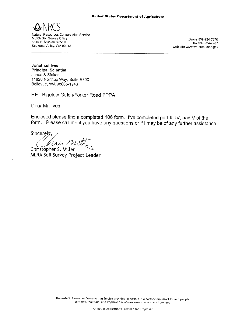

Natural Resources Conservation Service MLRA Soil Survey Office 8815 E. Mission Suite B Spokane Valley, WA 99212

phone 509-924-7370 fax 509-924-7787 web site www.wa.nrcs.usda.gov

Jonathan Ives **Principal Scientist** Jones & Stokes 11820 Northup Way, Suite E300 Bellevue, WA 98005-1946

RE: Bigelow Gulch/Forker Road FPPA

Dear Mr. Ives:

Enclosed please find a completed 106 form. I've completed part II, IV, and V of the form. Please call me if you have any questions or if I may be of any further assistance.

Sincerely, Mini ms

Christopher S. Miller MLRA Soil Survey Project Leader

The Natural Resources Conservation Service provides leadership in a partnership effort to help people conserve, maintain, and improve our natural resources and environment.